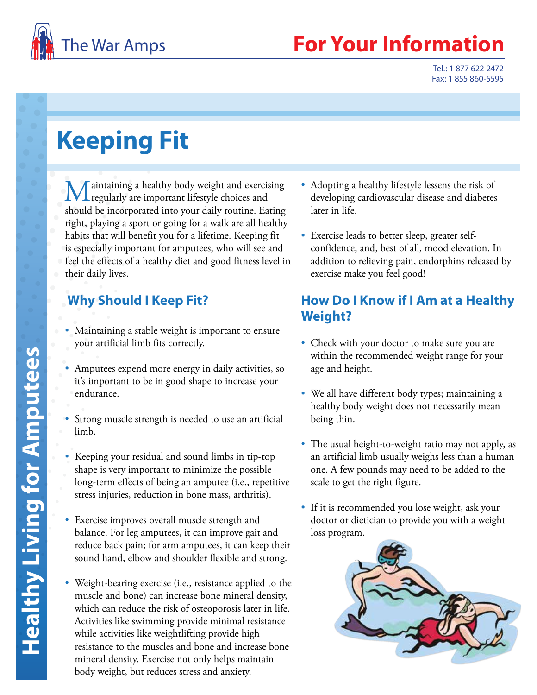

## **Your Information**

Tel.: 1 877 622-2472 Fax: 1 855 860-5595

# **Keeping Fit**

Maintaining a healthy body weight and exercising regularly are important lifestyle choices and should be incorporated into your daily routine. Eating right, playing a sport or going for a walk are all healthy habits that will benefit you for a lifetime. Keeping fit is especially important for amputees, who will see and feel the effects of a healthy diet and good fitness level in their daily lives.

### **Why Should I Keep Fit?**

- Maintaining a stable weight is important to ensure your artificial limb fits correctly.
- Amputees expend more energy in daily activities, so it's important to be in good shape to increase your endurance.
- Strong muscle strength is needed to use an artificial limb.
- Keeping your residual and sound limbs in tip-top shape is very important to minimize the possible long-term effects of being an amputee (i.e., repetitive stress injuries, reduction in bone mass, arthritis).
- Exercise improves overall muscle strength and balance. For leg amputees, it can improve gait and reduce back pain; for arm amputees, it can keep their sound hand, elbow and shoulder flexible and strong.
- Weight-bearing exercise (i.e., resistance applied to the muscle and bone) can increase bone mineral density, which can reduce the risk of osteoporosis later in life. Activities like swimming provide minimal resistance while activities like weightlifting provide high resistance to the muscles and bone and increase bone mineral density. Exercise not only helps maintain body weight, but reduces stress and anxiety.
- Adopting a healthy lifestyle lessens the risk of developing cardiovascular disease and diabetes later in life.
- Exercise leads to better sleep, greater selfconfidence, and, best of all, mood elevation. In addition to relieving pain, endorphins released by exercise make you feel good!

#### **How Do I Know if I Am at a Healthy Weight?**

- Check with your doctor to make sure you are within the recommended weight range for your age and height.
- We all have different body types; maintaining a healthy body weight does not necessarily mean being thin.
- The usual height-to-weight ratio may not apply, as an artificial limb usually weighs less than a human one. A few pounds may need to be added to the scale to get the right figure.
- If it is recommended you lose weight, ask your doctor or dietician to provide you with a weight loss program.